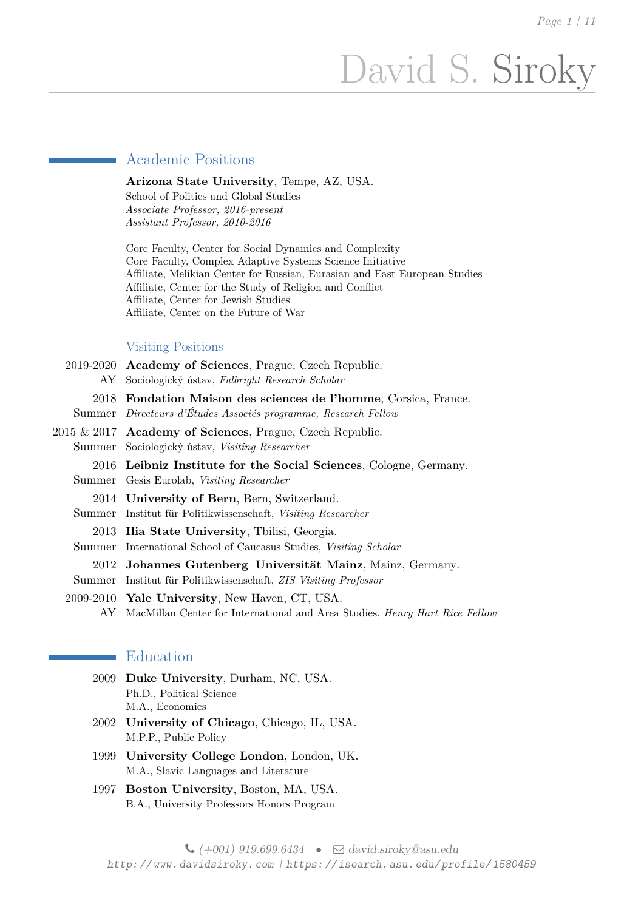# David S. Siroky

# Academic Positions

**Arizona State University**, Tempe, AZ, USA. School of Politics and Global Studies *Associate Professor, 2016-present Assistant Professor, 2010-2016*

Core Faculty, Center for Social Dynamics and Complexity Core Faculty, Complex Adaptive Systems Science Initiative Affiliate, Melikian Center for Russian, Eurasian and East European Studies Affiliate, Center for the Study of Religion and Conflict Affiliate, Center for Jewish Studies Affiliate, Center on the Future of War

#### Visiting Positions

|        | 2019-2020 Academy of Sciences, Prague, Czech Republic.            |
|--------|-------------------------------------------------------------------|
| AY     | Sociologický ústav, Fulbright Research Scholar                    |
| 2018   | <b>Fondation Maison des sciences de l'homme, Corsica, France.</b> |
|        | Summer Directeurs d'Études Associés programme, Research Fellow    |
|        | $2015 \& 2017$ Academy of Sciences, Prague, Czech Republic.       |
| Summer | Sociologický ústav, Visiting Researcher                           |
|        | 2016 Leibniz Institute for the Social Sciences, Cologne, Germany. |
| Summer | Gesis Eurolab, Visiting Researcher                                |
|        | 2014 University of Bern, Bern, Switzerland.                       |
| Summer | Institut für Politikwissenschaft, Visiting Researcher             |
|        | 2013 Ilia State University, Tbilisi, Georgia.                     |
| Summer | International School of Caucasus Studies, Visiting Scholar        |
|        | 2012 Johannes Gutenberg-Universität Mainz, Mainz, Germany.        |
| Summer | Institut für Politikwissenschaft, ZIS Visiting Professor          |
|        | 2009-2010 Yale University, New Haven, CT, USA.                    |
|        |                                                                   |

AY MacMillan Center for International and Area Studies, *Henry Hart Rice Fellow*

# Education

- 2009 **Duke University**, Durham, NC, USA. Ph.D., Political Science M.A., Economics
- 2002 **University of Chicago**, Chicago, IL, USA. M.P.P., Public Policy
- 1999 **University College London**, London, UK. M.A., Slavic Languages and Literature
- 1997 **Boston University**, Boston, MA, USA. B.A., University Professors Honors Program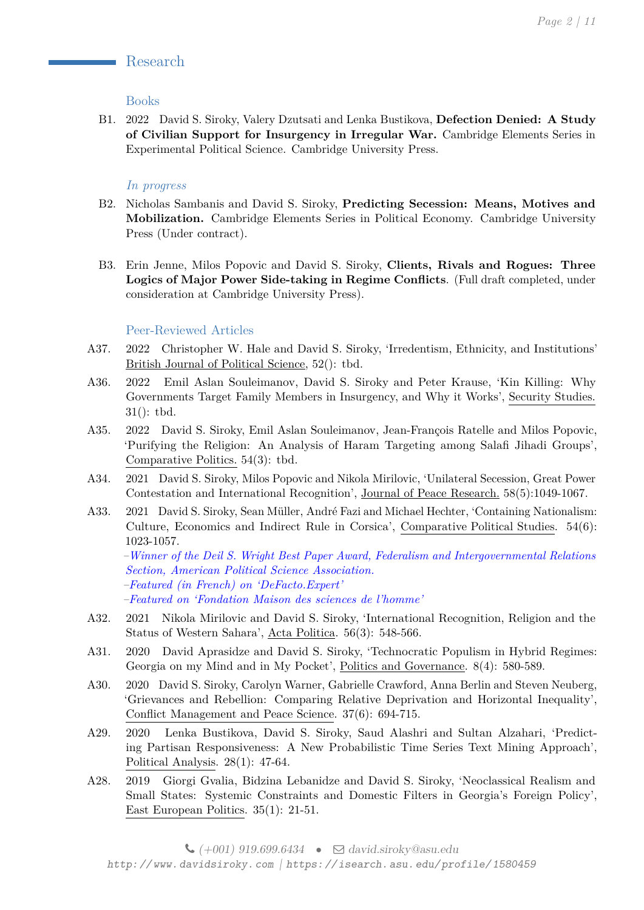# Research

## Books

B1. 2022 David S. Siroky, Valery Dzutsati and Lenka Bustikova, **Defection Denied: A Study of Civilian Support for Insurgency in Irregular War.** Cambridge Elements Series in Experimental Political Science. Cambridge University Press.

# *In progress*

- B2. Nicholas Sambanis and David S. Siroky, **Predicting Secession: Means, Motives and Mobilization.** Cambridge Elements Series in Political Economy. Cambridge University Press (Under contract).
- B3. Erin Jenne, Milos Popovic and David S. Siroky, **Clients, Rivals and Rogues: Three Logics of Major Power Side-taking in Regime Conflicts**. (Full draft completed, under consideration at Cambridge University Press).

## Peer-Reviewed Articles

- A37. 2022 Christopher W. Hale and David S. Siroky, 'Irredentism, Ethnicity, and Institutions' British Journal of Political Science, 52(): tbd.
- A36. 2022 Emil Aslan Souleimanov, David S. Siroky and Peter Krause, 'Kin Killing: Why Governments Target Family Members in Insurgency, and Why it Works', Security Studies. 31(): tbd.
- A35. 2022 David S. Siroky, Emil Aslan Souleimanov, Jean-François Ratelle and Milos Popovic, 'Purifying the Religion: An Analysis of Haram Targeting among Salafi Jihadi Groups', Comparative Politics. 54(3): tbd.
- A34. 2021 David S. Siroky, Milos Popovic and Nikola Mirilovic, 'Unilateral Secession, Great Power Contestation and International Recognition', Journal of Peace Research. 58(5):1049-1067.
- A33. 2021 David S. Siroky, Sean Müller, André Fazi and Michael Hechter, 'Containing Nationalism: Culture, Economics and Indirect Rule in Corsica', Comparative Political Studies. 54(6): 1023-1057.

*–Winner of the Deil S. Wright Best Paper Award, Federalism and Intergovernmental Relations Section, American Political Science Association. –Featured (in French) on ['DeFacto.Expert'](https://www.defacto.expert/2020/11/10/controle-politique-notabiliaire-versus-nationalisme-corse/?lang=fr)*

*–Featured on ['Fondation Maison des sciences de l'homme'](https://www.fmsh.fr/en/international/31101)*

- A32. 2021 Nikola Mirilovic and David S. Siroky, 'International Recognition, Religion and the Status of Western Sahara', Acta Politica. 56(3): 548-566.
- A31. 2020 David Aprasidze and David S. Siroky, 'Technocratic Populism in Hybrid Regimes: Georgia on my Mind and in My Pocket', Politics and Governance. 8(4): 580-589.
- A30. 2020 David S. Siroky, Carolyn Warner, Gabrielle Crawford, Anna Berlin and Steven Neuberg, 'Grievances and Rebellion: Comparing Relative Deprivation and Horizontal Inequality', Conflict Management and Peace Science. 37(6): 694-715.
- A29. 2020 Lenka Bustikova, David S. Siroky, Saud Alashri and Sultan Alzahari, 'Predicting Partisan Responsiveness: A New Probabilistic Time Series Text Mining Approach', Political Analysis. 28(1): 47-64.
- A28. 2019 Giorgi Gvalia, Bidzina Lebanidze and David S. Siroky, 'Neoclassical Realism and Small States: Systemic Constraints and Domestic Filters in Georgia's Foreign Policy', East European Politics. 35(1): 21-51.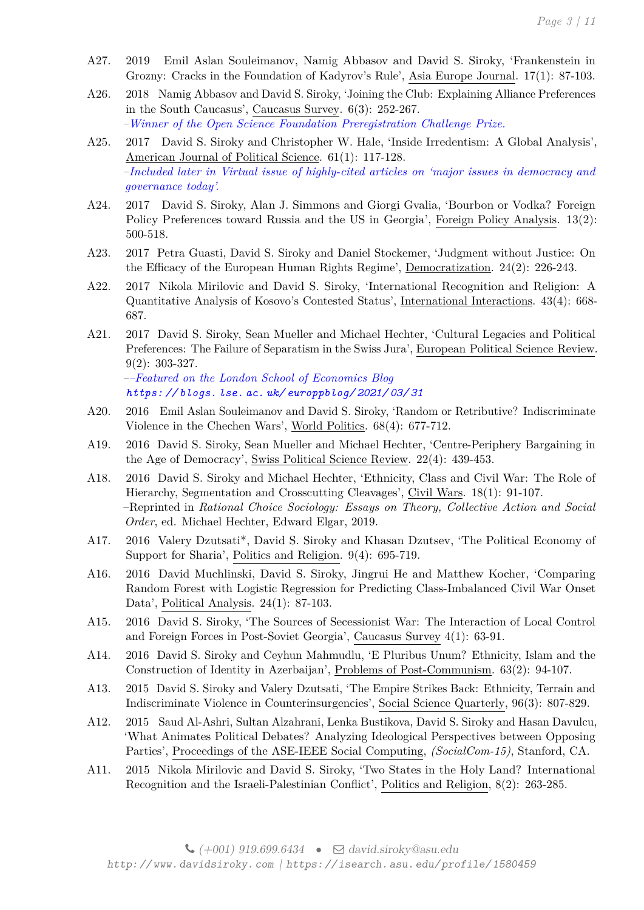- A27. 2019 Emil Aslan Souleimanov, Namig Abbasov and David S. Siroky, 'Frankenstein in Grozny: Cracks in the Foundation of Kadyrov's Rule', Asia Europe Journal. 17(1): 87-103.
- A26. 2018 Namig Abbasov and David S. Siroky, 'Joining the Club: Explaining Alliance Preferences in the South Caucasus', Caucasus Survey. 6(3): 252-267. *–Winner of the Open Science Foundation Preregistration Challenge Prize.*
- A25. 2017 David S. Siroky and Christopher W. Hale, 'Inside Irredentism: A Global Analysis', American Journal of Political Science. 61(1): 117-128. *–Included later in Virtual issue of highly-cited articles on 'major issues in democracy and governance today'.*
- A24. 2017 David S. Siroky, Alan J. Simmons and Giorgi Gvalia, 'Bourbon or Vodka? Foreign Policy Preferences toward Russia and the US in Georgia', Foreign Policy Analysis. 13(2): 500-518.
- A23. 2017 Petra Guasti, David S. Siroky and Daniel Stockemer, 'Judgment without Justice: On the Efficacy of the European Human Rights Regime', Democratization. 24(2): 226-243.
- A22. 2017 Nikola Mirilovic and David S. Siroky, 'International Recognition and Religion: A Quantitative Analysis of Kosovo's Contested Status', International Interactions. 43(4): 668- 687.
- A21. 2017 David S. Siroky, Sean Mueller and Michael Hechter, 'Cultural Legacies and Political Preferences: The Failure of Separatism in the Swiss Jura', European Political Science Review. 9(2): 303-327.

*––Featured on the London School of Economics Blog [https: // blogs. lse. ac. uk/ europpblog/ 2021/ 03/ 31](https://blogs.lse.ac.uk/europpblog/2021/03/31)*

- A20. 2016 Emil Aslan Souleimanov and David S. Siroky, 'Random or Retributive? Indiscriminate Violence in the Chechen Wars', World Politics. 68(4): 677-712.
- A19. 2016 David S. Siroky, Sean Mueller and Michael Hechter, 'Centre-Periphery Bargaining in the Age of Democracy', Swiss Political Science Review. 22(4): 439-453.
- A18. 2016 David S. Siroky and Michael Hechter, 'Ethnicity, Class and Civil War: The Role of Hierarchy, Segmentation and Crosscutting Cleavages', Civil Wars. 18(1): 91-107. –Reprinted in *Rational Choice Sociology: Essays on Theory, Collective Action and Social Order*, ed. Michael Hechter, Edward Elgar, 2019.
- A17. 2016 Valery Dzutsati\*, David S. Siroky and Khasan Dzutsev, 'The Political Economy of Support for Sharia', Politics and Religion. 9(4): 695-719.
- A16. 2016 David Muchlinski, David S. Siroky, Jingrui He and Matthew Kocher, 'Comparing Random Forest with Logistic Regression for Predicting Class-Imbalanced Civil War Onset Data', Political Analysis. 24(1): 87-103.
- A15. 2016 David S. Siroky, 'The Sources of Secessionist War: The Interaction of Local Control and Foreign Forces in Post-Soviet Georgia', Caucasus Survey 4(1): 63-91.
- A14. 2016 David S. Siroky and Ceyhun Mahmudlu, 'E Pluribus Unum? Ethnicity, Islam and the Construction of Identity in Azerbaijan', Problems of Post-Communism. 63(2): 94-107.
- A13. 2015 David S. Siroky and Valery Dzutsati, 'The Empire Strikes Back: Ethnicity, Terrain and Indiscriminate Violence in Counterinsurgencies', Social Science Quarterly, 96(3): 807-829.
- A12. 2015 Saud Al-Ashri, Sultan Alzahrani, Lenka Bustikova, David S. Siroky and Hasan Davulcu, 'What Animates Political Debates? Analyzing Ideological Perspectives between Opposing Parties', Proceedings of the ASE-IEEE Social Computing, *(SocialCom-15)*, Stanford, CA.
- A11. 2015 Nikola Mirilovic and David S. Siroky, 'Two States in the Holy Land? International Recognition and the Israeli-Palestinian Conflict', Politics and Religion, 8(2): 263-285.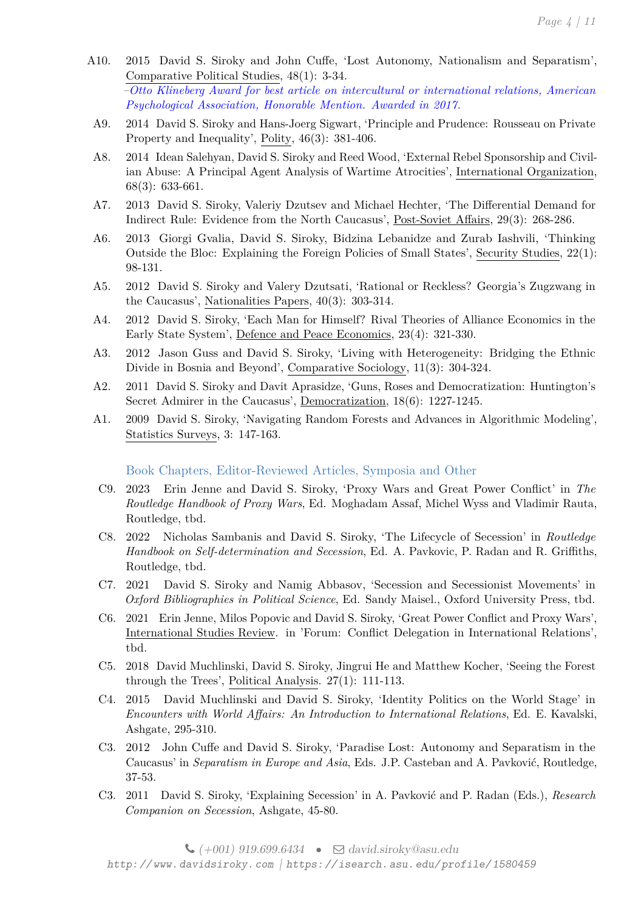- A10. 2015 David S. Siroky and John Cuffe, 'Lost Autonomy, Nationalism and Separatism', Comparative Political Studies, 48(1): 3-34. *–Otto Klineberg Award for best article on intercultural or international relations, American Psychological Association, Honorable Mention. Awarded in 2017.*
	- A9. 2014 David S. Siroky and Hans-Joerg Sigwart, 'Principle and Prudence: Rousseau on Private Property and Inequality', Polity, 46(3): 381-406.
	- A8. 2014 Idean Salehyan, David S. Siroky and Reed Wood, 'External Rebel Sponsorship and Civilian Abuse: A Principal Agent Analysis of Wartime Atrocities', International Organization, 68(3): 633-661.
	- A7. 2013 David S. Siroky, Valeriy Dzutsev and Michael Hechter, 'The Differential Demand for Indirect Rule: Evidence from the North Caucasus', Post-Soviet Affairs, 29(3): 268-286.
	- A6. 2013 Giorgi Gvalia, David S. Siroky, Bidzina Lebanidze and Zurab Iashvili, 'Thinking Outside the Bloc: Explaining the Foreign Policies of Small States', Security Studies, 22(1): 98-131.
	- A5. 2012 David S. Siroky and Valery Dzutsati, 'Rational or Reckless? Georgia's Zugzwang in the Caucasus', Nationalities Papers, 40(3): 303-314.
	- A4. 2012 David S. Siroky, 'Each Man for Himself? Rival Theories of Alliance Economics in the Early State System', Defence and Peace Economics, 23(4): 321-330.
	- A3. 2012 Jason Guss and David S. Siroky, 'Living with Heterogeneity: Bridging the Ethnic Divide in Bosnia and Beyond', Comparative Sociology, 11(3): 304-324.
	- A2. 2011 David S. Siroky and Davit Aprasidze, 'Guns, Roses and Democratization: Huntington's Secret Admirer in the Caucasus', Democratization, 18(6): 1227-1245.
	- A1. 2009 David S. Siroky, 'Navigating Random Forests and Advances in Algorithmic Modeling', Statistics Surveys, 3: 147-163.

# Book Chapters, Editor-Reviewed Articles, Symposia and Other

- C9. 2023 Erin Jenne and David S. Siroky, 'Proxy Wars and Great Power Conflict' in *The Routledge Handbook of Proxy Wars*, Ed. Moghadam Assaf, Michel Wyss and Vladimir Rauta, Routledge, tbd.
- C8. 2022 Nicholas Sambanis and David S. Siroky, 'The Lifecycle of Secession' in *Routledge Handbook on Self-determination and Secession*, Ed. A. Pavkovic, P. Radan and R. Griffiths, Routledge, tbd.
- C7. 2021 David S. Siroky and Namig Abbasov, 'Secession and Secessionist Movements' in *Oxford Bibliographies in Political Science*, Ed. Sandy Maisel., Oxford University Press, tbd.
- C6. 2021 Erin Jenne, Milos Popovic and David S. Siroky, 'Great Power Conflict and Proxy Wars', International Studies Review. in 'Forum: Conflict Delegation in International Relations', tbd.
- C5. 2018 David Muchlinski, David S. Siroky, Jingrui He and Matthew Kocher, 'Seeing the Forest through the Trees', Political Analysis. 27(1): 111-113.
- C4. 2015 David Muchlinski and David S. Siroky, 'Identity Politics on the World Stage' in *Encounters with World Affairs: An Introduction to International Relations*, Ed. E. Kavalski, Ashgate, 295-310.
- C3. 2012 John Cuffe and David S. Siroky, 'Paradise Lost: Autonomy and Separatism in the Caucasus' in *Separatism in Europe and Asia*, Eds. J.P. Casteban and A. Pavković, Routledge, 37-53.
- C3. 2011 David S. Siroky, 'Explaining Secession' in A. Pavković and P. Radan (Eds.), *Research Companion on Secession*, Ashgate, 45-80.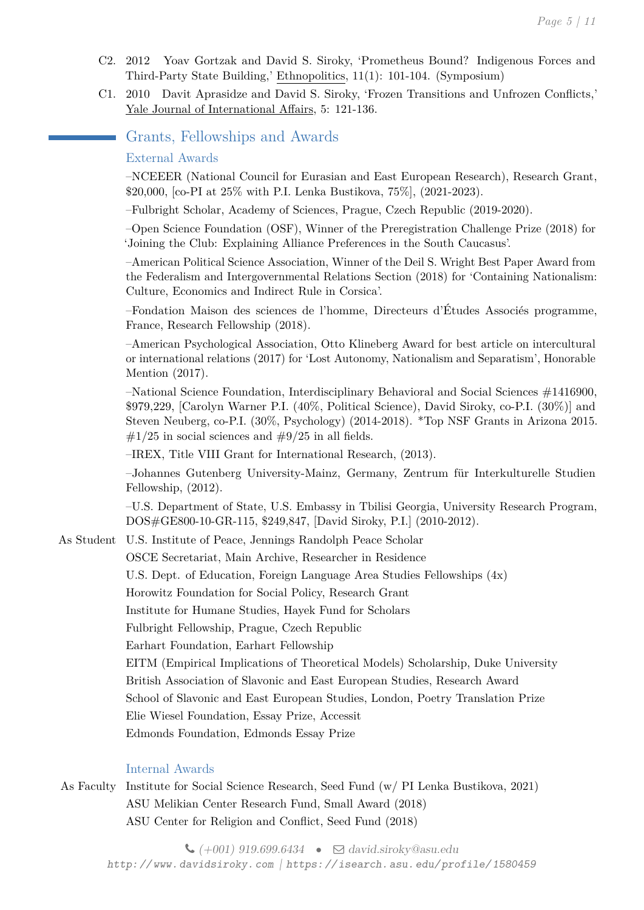- C2. 2012 Yoav Gortzak and David S. Siroky, 'Prometheus Bound? Indigenous Forces and Third-Party State Building,' Ethnopolitics, 11(1): 101-104. (Symposium)
- C1. 2010 Davit Aprasidze and David S. Siroky, 'Frozen Transitions and Unfrozen Conflicts,' Yale Journal of International Affairs, 5: 121-136.

# Grants, Fellowships and Awards

#### External Awards

–NCEEER (National Council for Eurasian and East European Research), Research Grant, \$20,000, [co-PI at 25% with P.I. Lenka Bustikova, 75%], (2021-2023).

–Fulbright Scholar, Academy of Sciences, Prague, Czech Republic (2019-2020).

–Open Science Foundation (OSF), Winner of the Preregistration Challenge Prize (2018) for 'Joining the Club: Explaining Alliance Preferences in the South Caucasus'.

–American Political Science Association, Winner of the Deil S. Wright Best Paper Award from the Federalism and Intergovernmental Relations Section (2018) for 'Containing Nationalism: Culture, Economics and Indirect Rule in Corsica'.

–Fondation Maison des sciences de l'homme, Directeurs d'Études Associés programme, France, Research Fellowship (2018).

–American Psychological Association, Otto Klineberg Award for best article on intercultural or international relations (2017) for 'Lost Autonomy, Nationalism and Separatism', Honorable Mention (2017).

–National Science Foundation, Interdisciplinary Behavioral and Social Sciences #1416900, \$979,229, [Carolyn Warner P.I. (40%, Political Science), David Siroky, co-P.I. (30%)] and Steven Neuberg, co-P.I. (30%, Psychology) (2014-2018). \*Top NSF Grants in Arizona 2015.  $\#1/25$  in social sciences and  $\#9/25$  in all fields.

–IREX, Title VIII Grant for International Research, (2013).

–Johannes Gutenberg University-Mainz, Germany, Zentrum für Interkulturelle Studien Fellowship, (2012).

–U.S. Department of State, U.S. Embassy in Tbilisi Georgia, University Research Program, DOS#GE800-10-GR-115, \$249,847, [David Siroky, P.I.] (2010-2012).

As Student U.S. Institute of Peace, Jennings Randolph Peace Scholar

OSCE Secretariat, Main Archive, Researcher in Residence U.S. Dept. of Education, Foreign Language Area Studies Fellowships (4x) Horowitz Foundation for Social Policy, Research Grant Institute for Humane Studies, Hayek Fund for Scholars Fulbright Fellowship, Prague, Czech Republic Earhart Foundation, Earhart Fellowship EITM (Empirical Implications of Theoretical Models) Scholarship, Duke University British Association of Slavonic and East European Studies, Research Award School of Slavonic and East European Studies, London, Poetry Translation Prize Elie Wiesel Foundation, Essay Prize, Accessit Edmonds Foundation, Edmonds Essay Prize

#### Internal Awards

As Faculty Institute for Social Science Research, Seed Fund (w/ PI Lenka Bustikova, 2021) ASU Melikian Center Research Fund, Small Award (2018) ASU Center for Religion and Conflict, Seed Fund (2018)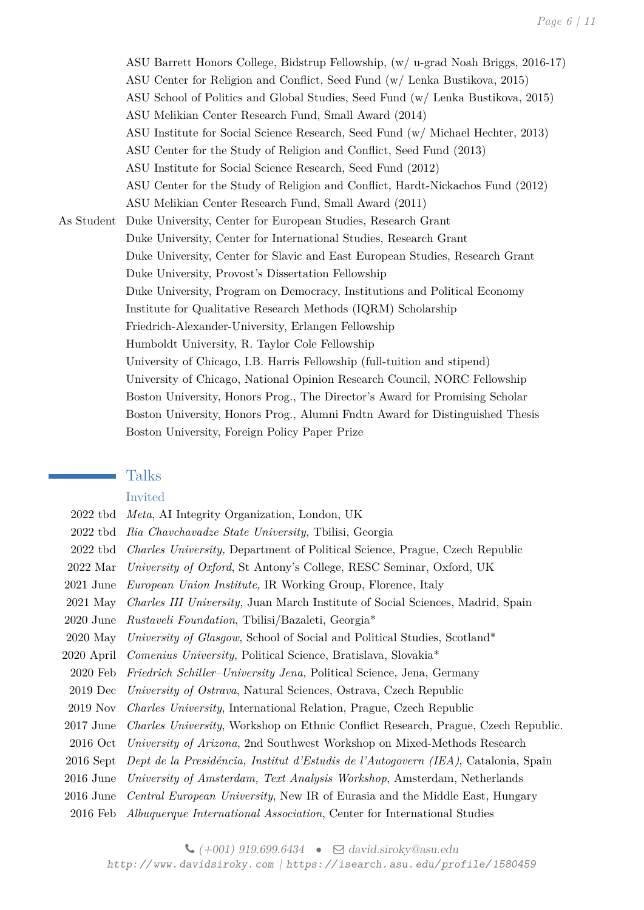ASU Barrett Honors College, Bidstrup Fellowship, (w/ u-grad Noah Briggs, 2016-17) ASU Center for Religion and Conflict, Seed Fund (w/ Lenka Bustikova, 2015) ASU School of Politics and Global Studies, Seed Fund (w/ Lenka Bustikova, 2015) ASU Melikian Center Research Fund, Small Award (2014) ASU Institute for Social Science Research, Seed Fund (w/ Michael Hechter, 2013) ASU Center for the Study of Religion and Conflict, Seed Fund (2013) ASU Institute for Social Science Research, Seed Fund (2012) ASU Center for the Study of Religion and Conflict, Hardt-Nickachos Fund (2012) ASU Melikian Center Research Fund, Small Award (2011) As Student Duke University, Center for European Studies, Research Grant Duke University, Center for International Studies, Research Grant Duke University, Center for Slavic and East European Studies, Research Grant Duke University, Provost's Dissertation Fellowship Duke University, Program on Democracy, Institutions and Political Economy Institute for Qualitative Research Methods (IQRM) Scholarship Friedrich-Alexander-University, Erlangen Fellowship Humboldt University, R. Taylor Cole Fellowship University of Chicago, I.B. Harris Fellowship (full-tuition and stipend) University of Chicago, National Opinion Research Council, NORC Fellowship Boston University, Honors Prog., The Director's Award for Promising Scholar Boston University, Honors Prog., Alumni Fndtn Award for Distinguished Thesis Boston University, Foreign Policy Paper Prize

#### Talks

#### Invited

- 2022 tbd *Meta*, AI Integrity Organization, London, UK
- 2022 tbd *Ilia Chavchavadze State University,* Tbilisi, Georgia
- 2022 tbd *Charles University,* Department of Political Science, Prague, Czech Republic
- 2022 Mar *University of Oxford*, St Antony's College, RESC Seminar, Oxford, UK
- 2021 June *European Union Institute,* IR Working Group, Florence, Italy
- 2021 May *Charles III University,* Juan March Institute of Social Sciences, Madrid, Spain
- 2020 June *Rustaveli Foundation*, Tbilisi/Bazaleti, Georgia\*
- 2020 May *University of Glasgow*, School of Social and Political Studies, Scotland\*
- 2020 April *Comenius University,* Political Science, Bratislava, Slovakia\*
- 2020 Feb *Friedrich Schiller–University Jena,* Political Science, Jena, Germany
- 2019 Dec *University of Ostrava*, Natural Sciences, Ostrava, Czech Republic
- 2019 Nov *Charles University*, International Relation, Prague, Czech Republic
- 2017 June *Charles University*, Workshop on Ethnic Conflict Research, Prague, Czech Republic.
- 2016 Oct *University of Arizona*, 2nd Southwest Workshop on Mixed-Methods Research
- 2016 Sept *Dept de la Presidéncia, Institut d'Estudis de l'Autogovern (IEA)*, Catalonia, Spain
- 2016 June *University of Amsterdam, Text Analysis Workshop*, Amsterdam, Netherlands
- 2016 June *Central European University*, New IR of Eurasia and the Middle East, Hungary
- 2016 Feb *Albuquerque International Association*, Center for International Studies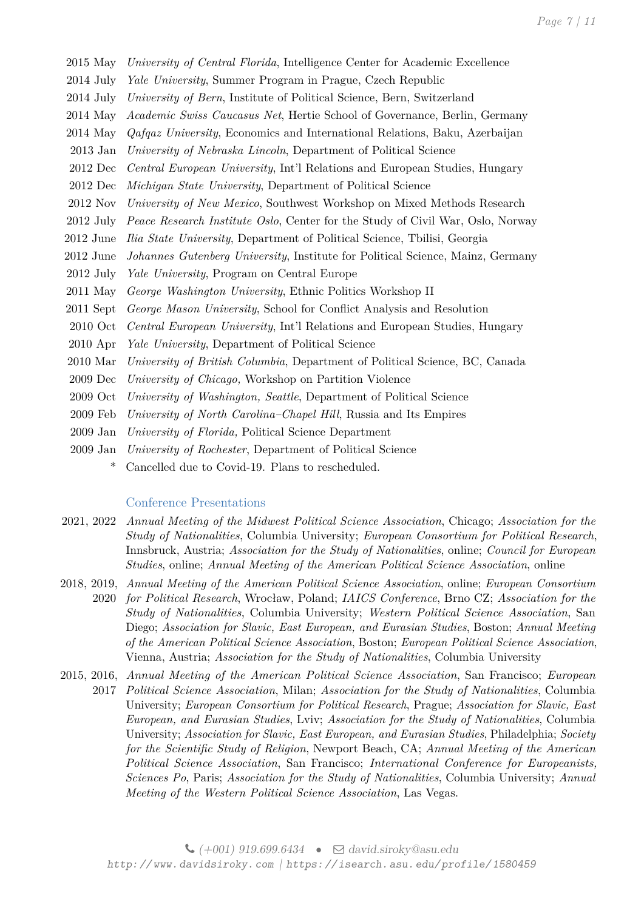- 2015 May *University of Central Florida*, Intelligence Center for Academic Excellence
- 2014 July *Yale University*, Summer Program in Prague, Czech Republic
- 2014 July *University of Bern*, Institute of Political Science, Bern, Switzerland
- 2014 May *Academic Swiss Caucasus Net*, Hertie School of Governance, Berlin, Germany
- 2014 May *Qafqaz University*, Economics and International Relations, Baku, Azerbaijan
- 2013 Jan *University of Nebraska Lincoln*, Department of Political Science
- 2012 Dec *Central European University*, Int'l Relations and European Studies, Hungary
- 2012 Dec *Michigan State University*, Department of Political Science
- 2012 Nov *University of New Mexico*, Southwest Workshop on Mixed Methods Research
- 2012 July *Peace Research Institute Oslo*, Center for the Study of Civil War, Oslo, Norway
- 2012 June *Ilia State University*, Department of Political Science, Tbilisi, Georgia
- 2012 June *Johannes Gutenberg University*, Institute for Political Science, Mainz, Germany
- 2012 July *Yale University*, Program on Central Europe
- 2011 May *George Washington University*, Ethnic Politics Workshop II
- 2011 Sept *George Mason University*, School for Conflict Analysis and Resolution
- 2010 Oct *Central European University*, Int'l Relations and European Studies, Hungary
- 2010 Apr *Yale University*, Department of Political Science
- 2010 Mar *University of British Columbia*, Department of Political Science, BC, Canada
- 2009 Dec *University of Chicago,* Workshop on Partition Violence
- 2009 Oct *University of Washington, Seattle*, Department of Political Science
- 2009 Feb *University of North Carolina–Chapel Hill*, Russia and Its Empires
- 2009 Jan *University of Florida,* Political Science Department
- 2009 Jan *University of Rochester*, Department of Political Science
	- \* Cancelled due to Covid-19. Plans to rescheduled.

#### Conference Presentations

- 2021, 2022 *Annual Meeting of the Midwest Political Science Association*, Chicago; *Association for the Study of Nationalities*, Columbia University; *European Consortium for Political Research*, Innsbruck, Austria; *Association for the Study of Nationalities*, online; *Council for European Studies*, online; *Annual Meeting of the American Political Science Association*, online
- 2018, 2019, *Annual Meeting of the American Political Science Association*, online; *European Consortium* 2020 *for Political Research*, Wrocław, Poland; *IAICS Conference*, Brno CZ; *Association for the Study of Nationalities*, Columbia University; *Western Political Science Association*, San Diego; *Association for Slavic, East European, and Eurasian Studies*, Boston; *Annual Meeting of the American Political Science Association*, Boston; *European Political Science Association*, Vienna, Austria; *Association for the Study of Nationalities*, Columbia University
- 2015, 2016, *Annual Meeting of the American Political Science Association*, San Francisco; *European*
	- 2017 *Political Science Association*, Milan; *Association for the Study of Nationalities*, Columbia University; *European Consortium for Political Research*, Prague; *Association for Slavic, East European, and Eurasian Studies*, Lviv; *Association for the Study of Nationalities*, Columbia University; *Association for Slavic, East European, and Eurasian Studies*, Philadelphia; *Society for the Scientific Study of Religion*, Newport Beach, CA; *Annual Meeting of the American Political Science Association*, San Francisco; *International Conference for Europeanists, Sciences Po*, Paris; *Association for the Study of Nationalities*, Columbia University; *Annual Meeting of the Western Political Science Association*, Las Vegas.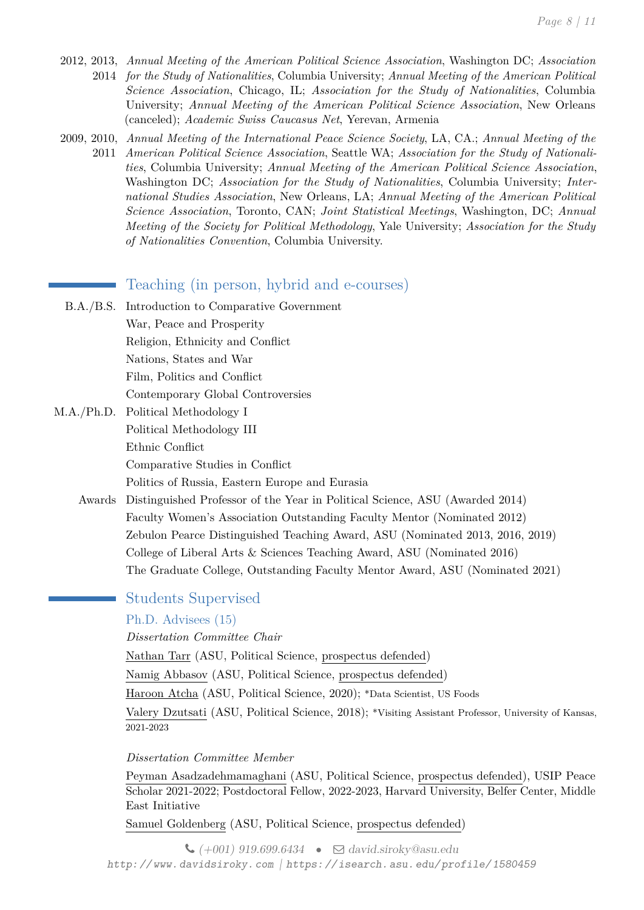- 2012, 2013, *Annual Meeting of the American Political Science Association*, Washington DC; *Association* 2014 *for the Study of Nationalities*, Columbia University; *Annual Meeting of the American Political Science Association*, Chicago, IL; *Association for the Study of Nationalities*, Columbia University; *Annual Meeting of the American Political Science Association*, New Orleans (canceled); *Academic Swiss Caucasus Net*, Yerevan, Armenia
- 2009, 2010, *Annual Meeting of the International Peace Science Society*, LA, CA.; *Annual Meeting of the* 2011 *American Political Science Association*, Seattle WA; *Association for the Study of Nationalities*, Columbia University; *Annual Meeting of the American Political Science Association*, Washington DC; *Association for the Study of Nationalities*, Columbia University; *International Studies Association*, New Orleans, LA; *Annual Meeting of the American Political Science Association*, Toronto, CAN; *Joint Statistical Meetings*, Washington, DC; *Annual Meeting of the Society for Political Methodology*, Yale University; *Association for the Study of Nationalities Convention*, Columbia University.

# Teaching (in person, hybrid and e-courses)

- B.A./B.S. Introduction to Comparative Government War, Peace and Prosperity Religion, Ethnicity and Conflict Nations, States and War Film, Politics and Conflict Contemporary Global Controversies
- M.A./Ph.D. Political Methodology I Political Methodology III Ethnic Conflict Comparative Studies in Conflict Politics of Russia, Eastern Europe and Eurasia
	- Awards Distinguished Professor of the Year in Political Science, ASU (Awarded 2014) Faculty Women's Association Outstanding Faculty Mentor (Nominated 2012) Zebulon Pearce Distinguished Teaching Award, ASU (Nominated 2013, 2016, 2019) College of Liberal Arts & Sciences Teaching Award, ASU (Nominated 2016) The Graduate College, Outstanding Faculty Mentor Award, ASU (Nominated 2021)

# Students Supervised

Ph.D. Advisees (15)

*Dissertation Committee Chair*

Nathan Tarr (ASU, Political Science, prospectus defended)

Namig Abbasov (ASU, Political Science, prospectus defended)

Haroon Atcha (ASU, Political Science, 2020); \*Data Scientist, US Foods

Valery Dzutsati (ASU, Political Science, 2018); \*Visiting Assistant Professor, University of Kansas, 2021-2023

*Dissertation Committee Member*

Peyman Asadzadehmamaghani (ASU, Political Science, prospectus defended), USIP Peace Scholar 2021-2022; Postdoctoral Fellow, 2022-2023, Harvard University, Belfer Center, Middle East Initiative

Samuel Goldenberg (ASU, Political Science, prospectus defended)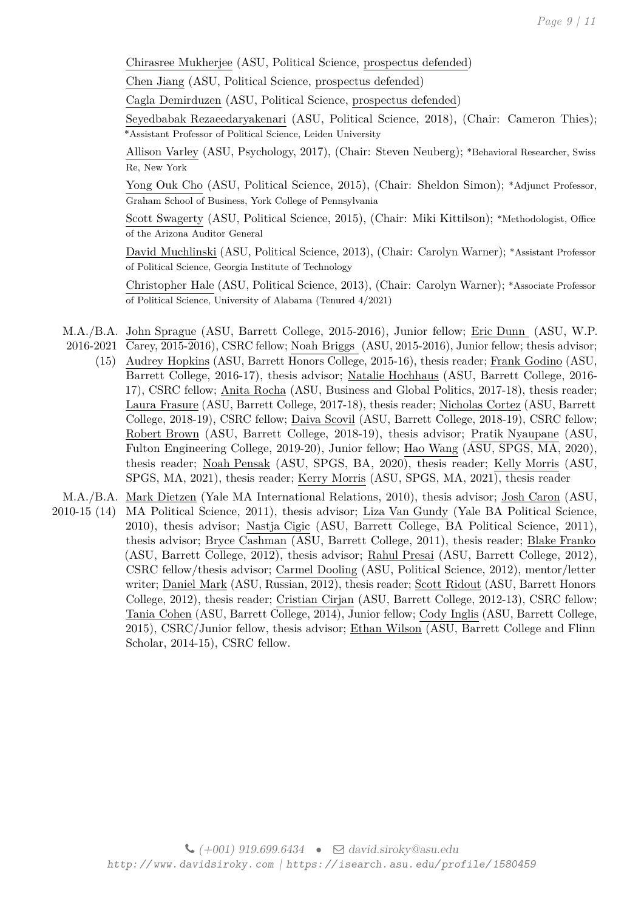Chirasree Mukherjee (ASU, Political Science, prospectus defended)

Chen Jiang (ASU, Political Science, prospectus defended)

Cagla Demirduzen (ASU, Political Science, prospectus defended)

Seyedbabak Rezaeedaryakenari (ASU, Political Science, 2018), (Chair: Cameron Thies); \*Assistant Professor of Political Science, Leiden University

Allison Varley (ASU, Psychology, 2017), (Chair: Steven Neuberg); \*Behavioral Researcher, Swiss Re, New York

Yong Ouk Cho (ASU, Political Science, 2015), (Chair: Sheldon Simon); \*Adjunct Professor, Graham School of Business, York College of Pennsylvania

Scott Swagerty (ASU, Political Science, 2015), (Chair: Miki Kittilson); \*Methodologist, Office of the Arizona Auditor General

David Muchlinski (ASU, Political Science, 2013), (Chair: Carolyn Warner); \*Assistant Professor of Political Science, Georgia Institute of Technology

Christopher Hale (ASU, Political Science, 2013), (Chair: Carolyn Warner); \*Associate Professor of Political Science, University of Alabama (Tenured 4/2021)

M.A./B.A. John Sprague (ASU, Barrett College, 2015-2016), Junior fellow; <u>Eric Dunn</u> (ASU, W.P. 2016-2021 Carey, 2015-2016), CSRC fellow; Noah Briggs (ASU, 2015-2016), Junior fellow; thesis advisor;

(15) Audrey Hopkins (ASU, Barrett Honors College, 2015-16), thesis reader; Frank Godino (ASU, Barrett College, 2016-17), thesis advisor; Natalie Hochhaus (ASU, Barrett College, 2016- 17), CSRC fellow; Anita Rocha (ASU, Business and Global Politics, 2017-18), thesis reader; Laura Frasure (ASU, Barrett College, 2017-18), thesis reader; Nicholas Cortez (ASU, Barrett College, 2018-19), CSRC fellow; Daiva Scovil (ASU, Barrett College, 2018-19), CSRC fellow; Robert Brown (ASU, Barrett College, 2018-19), thesis advisor; Pratik Nyaupane (ASU, Fulton Engineering College, 2019-20), Junior fellow; Hao Wang (ASU, SPGS, MA, 2020), thesis reader; Noah Pensak (ASU, SPGS, BA, 2020), thesis reader; Kelly Morris (ASU, SPGS, MA, 2021), thesis reader; Kerry Morris (ASU, SPGS, MA, 2021), thesis reader

M.A./B.A. <u>Mark Dietzen</u> (Yale MA International Relations, 2010), thesis advisor; <u>Josh Caron</u> (ASU,

2010-15 (14) MA Political Science, 2011), thesis advisor; Liza Van Gundy (Yale BA Political Science, 2010), thesis advisor; Nastja Cigic (ASU, Barrett College, BA Political Science, 2011), thesis advisor; Bryce Cashman (ASU, Barrett College, 2011), thesis reader; Blake Franko (ASU, Barrett College, 2012), thesis advisor; Rahul Presai (ASU, Barrett College, 2012), CSRC fellow/thesis advisor; Carmel Dooling (ASU, Political Science, 2012), mentor/letter writer; Daniel Mark (ASU, Russian, 2012), thesis reader; Scott Ridout (ASU, Barrett Honors College, 2012), thesis reader; Cristian Cirjan (ASU, Barrett College, 2012-13), CSRC fellow; Tania Cohen (ASU, Barrett College, 2014), Junior fellow; Cody Inglis (ASU, Barrett College, 2015), CSRC/Junior fellow, thesis advisor; Ethan Wilson (ASU, Barrett College and Flinn Scholar, 2014-15), CSRC fellow.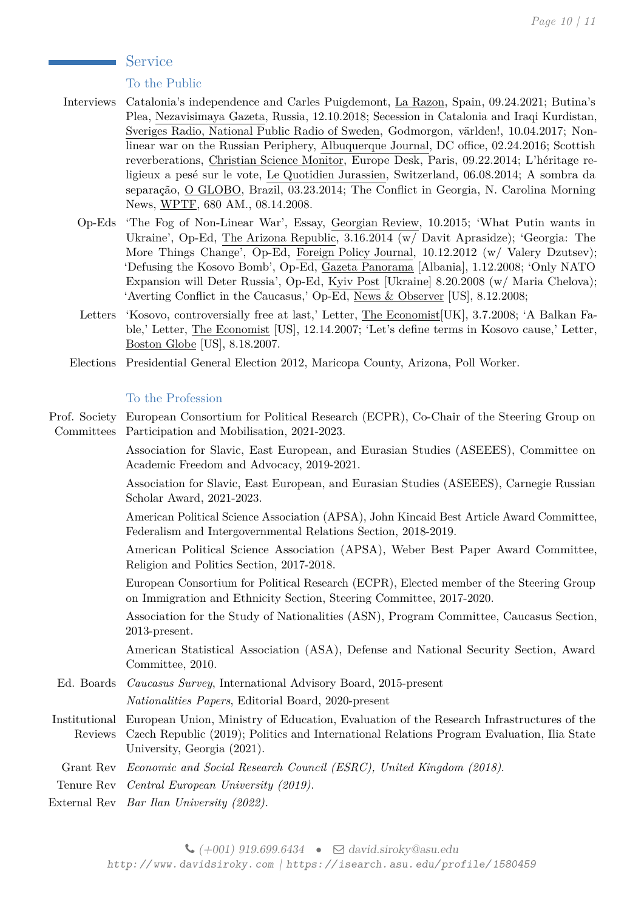## Service

## To the Public

- Interviews Catalonia's independence and Carles Puigdemont, La Razon, Spain, 09.24.2021; Butina's Plea, Nezavisimaya Gazeta, Russia, 12.10.2018; Secession in Catalonia and Iraqi Kurdistan, Sveriges Radio, National Public Radio of Sweden, Godmorgon, världen!, 10.04.2017; Nonlinear war on the Russian Periphery, Albuquerque Journal, DC office, 02.24.2016; Scottish reverberations, Christian Science Monitor, Europe Desk, Paris, 09.22.2014; L'héritage religieux a pesé sur le vote, Le Quotidien Jurassien, Switzerland, 06.08.2014; A sombra da separação, O GLOBO, Brazil, 03.23.2014; The Conflict in Georgia, N. Carolina Morning News, WPTF, 680 AM., 08.14.2008.
	- Op-Eds 'The Fog of Non-Linear War', Essay, Georgian Review, 10.2015; 'What Putin wants in Ukraine', Op-Ed, The Arizona Republic, 3.16.2014 (w/ Davit Aprasidze); 'Georgia: The More Things Change', Op-Ed, Foreign Policy Journal, 10.12.2012 (w/ Valery Dzutsev); 'Defusing the Kosovo Bomb', Op-Ed, Gazeta Panorama [Albania], 1.12.2008; 'Only NATO Expansion will Deter Russia', Op-Ed, Kyiv Post [Ukraine] 8.20.2008 (w/ Maria Chelova); 'Averting Conflict in the Caucasus,' Op-Ed, News & Observer [US], 8.12.2008;
	- Letters 'Kosovo, controversially free at last,' Letter, The Economist[UK], 3.7.2008; 'A Balkan Fable,' Letter, The Economist [US], 12.14.2007; 'Let's define terms in Kosovo cause,' Letter, Boston Globe [US], 8.18.2007.
	- Elections Presidential General Election 2012, Maricopa County, Arizona, Poll Worker.

## To the Profession

Prof. Society European Consortium for Political Research (ECPR), Co-Chair of the Steering Group on Committees Participation and Mobilisation, 2021-2023.

> Association for Slavic, East European, and Eurasian Studies (ASEEES), Committee on Academic Freedom and Advocacy, 2019-2021.

> Association for Slavic, East European, and Eurasian Studies (ASEEES), Carnegie Russian Scholar Award, 2021-2023.

> American Political Science Association (APSA), John Kincaid Best Article Award Committee, Federalism and Intergovernmental Relations Section, 2018-2019.

> American Political Science Association (APSA), Weber Best Paper Award Committee, Religion and Politics Section, 2017-2018.

> European Consortium for Political Research (ECPR), Elected member of the Steering Group on Immigration and Ethnicity Section, Steering Committee, 2017-2020.

> Association for the Study of Nationalities (ASN), Program Committee, Caucasus Section, 2013-present.

> American Statistical Association (ASA), Defense and National Security Section, Award Committee, 2010.

Ed. Boards *Caucasus Survey*, International Advisory Board, 2015-present

*Nationalities Papers*, Editorial Board, 2020-present

Institutional European Union, Ministry of Education, Evaluation of the Research Infrastructures of the Reviews Czech Republic (2019); Politics and International Relations Program Evaluation, Ilia State University, Georgia (2021).

Grant Rev *Economic and Social Research Council (ESRC), United Kingdom (2018)*.

Tenure Rev *Central European University (2019).*

External Rev *Bar Ilan University (2022).*